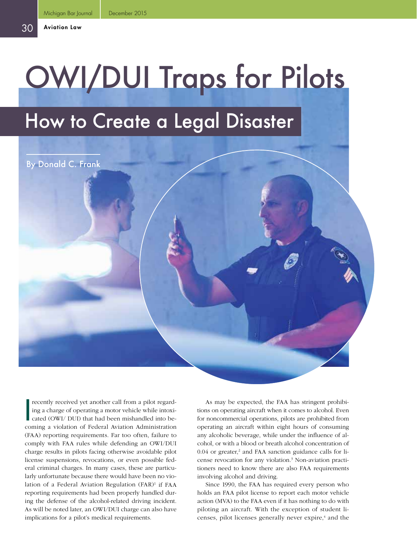By Donald C. Frank

# OWI/DUI Traps for Pilots

# How to Create a Legal Disaster

I recently received yet another call from a pilot regarding a charge of operating a motor vehicle while intoxicated (OWI/ DUI) that had been mishandled into becoming a violation of Federal Aviation Administration (FAA) reporting requirements. Far too often, failure to comply with FAA rules while defending an OWI/DUI charge results in pilots facing otherwise avoidable pilot license suspensions, revocations, or even possible federal criminal charges. In many cases, these are particularly unfortunate because there would have been no violation of a Federal Aviation Regulation (FAR)<sup>1</sup> if FAA reporting requirements had been properly handled during the defense of the alcohol-related driving incident. As will be noted later, an OWI/DUI charge can also have implications for a pilot's medical requirements.

As may be expected, the FAA has stringent prohibitions on operating aircraft when it comes to alcohol. Even for noncommercial operations, pilots are prohibited from operating an aircraft within eight hours of consuming any alcoholic beverage, while under the influence of alcohol, or with a blood or breath alcohol concentration of 0.04 or greater,<sup>2</sup> and FAA sanction guidance calls for license revocation for any violation.<sup>3</sup> Non-aviation practitioners need to know there are also FAA requirements involving alcohol and driving.

Since 1990, the FAA has required every person who holds an FAA pilot license to report each motor vehicle action (MVA) to the FAA even if it has nothing to do with piloting an aircraft. With the exception of student licenses, pilot licenses generally never expire,<sup>4</sup> and the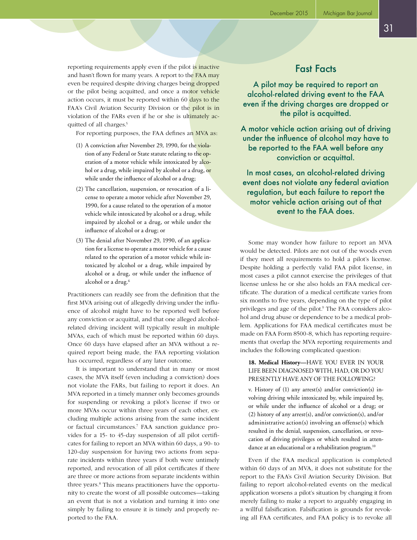reporting requirements apply even if the pilot is inactive and hasn't flown for many years. A report to the FAA may even be required despite driving charges being dropped or the pilot being acquitted, and once a motor vehicle action occurs, it must be reported within 60 days to the FAA's Civil Aviation Security Division or the pilot is in violation of the FARs even if he or she is ultimately acquitted of all charges.<sup>5</sup>

For reporting purposes, the FAA defines an MVA as:

- (1) A conviction after November 29, 1990, for the violation of any Federal or State statute relating to the operation of a motor vehicle while intoxicated by alcohol or a drug, while impaired by alcohol or a drug, or while under the influence of alcohol or a drug;
- (2) The cancellation, suspension, or revocation of a license to operate a motor vehicle after November 29, 1990, for a cause related to the operation of a motor vehicle while intoxicated by alcohol or a drug, while impaired by alcohol or a drug, or while under the influence of alcohol or a drug; or
- (3) The denial after November 29, 1990, of an application for a license to operate a motor vehicle for a cause related to the operation of a motor vehicle while intoxicated by alcohol or a drug, while impaired by alcohol or a drug, or while under the influence of alcohol or a drug.<sup>6</sup>

Practitioners can readily see from the definition that the first MVA arising out of allegedly driving under the influence of alcohol might have to be reported well before any conviction or acquittal, and that one alleged alcoholrelated driving incident will typically result in multiple MVAs, each of which must be reported within 60 days. Once 60 days have elapsed after an MVA without a required report being made, the FAA reporting violation has occurred, regardless of any later outcome.

It is important to understand that in many or most cases, the MVA itself (even including a conviction) does not violate the FARs, but failing to report it does. An MVA reported in a timely manner only becomes grounds for suspending or revoking a pilot's license if two or more MVAs occur within three years of each other, excluding multiple actions arising from the same incident or factual circumstances.7 FAA sanction guidance provides for a 15- to 45-day suspension of all pilot certificates for failing to report an MVA within 60 days, a 90- to 120-day suspension for having two actions from separate incidents within three years if both were untimely reported, and revocation of all pilot certificates if there are three or more actions from separate incidents within three years.<sup>8</sup> This means practitioners have the opportunity to create the worst of all possible outcomes—taking an event that is not a violation and turning it into one simply by failing to ensure it is timely and properly reported to the FAA.

## Fast Facts

A pilot may be required to report an alcohol-related driving event to the FAA even if the driving charges are dropped or the pilot is acquitted.

A motor vehicle action arising out of driving under the influence of alcohol may have to be reported to the FAA well before any conviction or acquittal.

In most cases, an alcohol-related driving event does not violate any federal aviation regulation, but each failure to report the motor vehicle action arising out of that event to the FAA does.

Some may wonder how failure to report an MVA would be detected. Pilots are not out of the woods even if they meet all requirements to hold a pilot's license. Despite holding a perfectly valid FAA pilot license, in most cases a pilot cannot exercise the privileges of that license unless he or she also holds an FAA medical certificate. The duration of a medical certificate varies from six months to five years, depending on the type of pilot privileges and age of the pilot.<sup>9</sup> The FAA considers alcohol and drug abuse or dependence to be a medical problem. Applications for FAA medical certificates must be made on FAA Form 8500-8, which has reporting requirements that overlap the MVA reporting requirements and includes the following complicated question:

### **18. Medical History—**HAVE YOU EVER IN YOUR LIFE BEEN DIAGNOSED WITH, HAD, OR DO YOU PRESENTLY HAVE ANY OF THE FOLLOWING?

v. History of (1) any arrest(s) and/or conviction(s) involving driving while intoxicated by, while impaired by, or while under the influence of alcohol or a drug; or (2) history of any arrest(s), and/or conviction(s), and/or administrative action(s) involving an offense(s) which resulted in the denial, suspension, cancellation, or revocation of driving privileges or which resulted in attendance at an educational or a rehabilitation program.<sup>10</sup>

Even if the FAA medical application is completed within 60 days of an MVA, it does not substitute for the report to the FAA's Civil Aviation Security Division. But failing to report alcohol-related events on the medical application worsens a pilot's situation by changing it from merely failing to make a report to arguably engaging in a willful falsification. Falsification is grounds for revoking all FAA certificates, and FAA policy is to revoke all